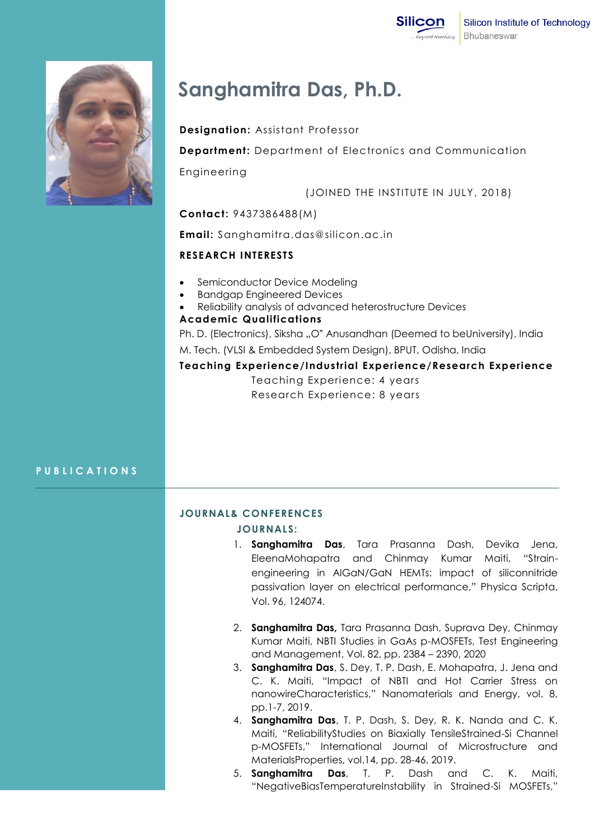



# **Sanghamitra Das, Ph.D.**

#### **Designation:** Assistant Professor

**Department:** Department of Electronics and Communication

Engineering

(JOINED THE INSTITUTE IN JULY, 2018)

#### **Contact:** 9437386488(M)

**Email:** Sanghamitra.das@silicon.ac.in

#### **RESEARCH INTERESTS**

- Semiconductor Device Modeling
- Bandgap Engineered Devices
- Reliability analysis of advanced heterostructure Devices

### **Academic Qualifications**

Ph. D. (Electronics), Siksha "O" Anusandhan (Deemed to beUniversity), India

M. Tech. (VLSI & Embedded System Design), BPUT, Odisha, India

## **Teaching Experience/Industrial Experience/Research Experience**

Teaching Experience: 4 years Research Experience: 8 years

#### **P U B L I C A T I O N S**

#### **JOURNAL& CONFERENCES**

#### **JOURNALS:**

- 1. **Sanghamitra Das**, Tara Prasanna Dash, Devika Jena, EleenaMohapatra and Chinmay Kumar Maiti, "Strainengineering in AlGaN/GaN HEMTs: impact of siliconnitride passivation layer on electrical performance," Physica Scripta, Vol. 96, 124074.
- 2. **Sanghamitra Das,** Tara Prasanna Dash, Suprava Dey, Chinmay Kumar Maiti, NBTI Studies in GaAs p-MOSFETs, Test Engineering and Management, Vol. 82, pp. 2384 – 2390, 2020
- 3. **Sanghamitra Das**, S. Dey, T. P. Dash, E. Mohapatra, J. Jena and C. K. Maiti, "Impact of NBTI and Hot Carrier Stress on nanowireCharacteristics," Nanomaterials and Energy, vol. 8, pp.1-7, 2019.
- 4. **Sanghamitra Das**, T. P. Dash, S. Dey, R. K. Nanda and C. K. Maiti, "ReliabilityStudies on Biaxially TensileStrained-Si Channel p-MOSFETs," International Journal of Microstructure and MaterialsProperties, vol.14, pp. 28-46, 2019.
- 5. **Sanghamitra Das**, T. P. Dash and C. K. Maiti, "NegativeBiasTemperatureInstability in Strained-Si MOSFETs,"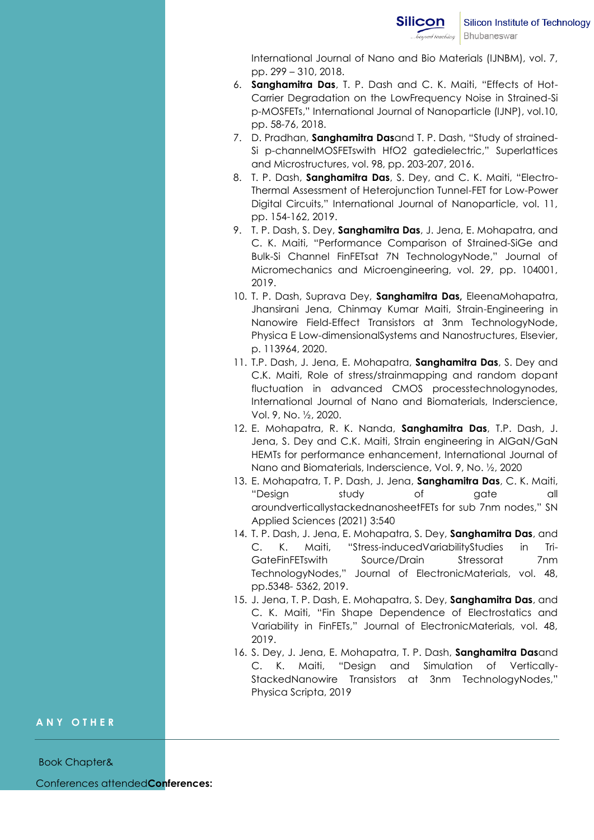International Journal of Nano and Bio Materials (IJNBM), vol. 7, pp. 299 – 310, 2018.

- 6. **Sanghamitra Das**, T. P. Dash and C. K. Maiti, "Effects of Hot-Carrier Degradation on the LowFrequency Noise in Strained-Si p-MOSFETs," International Journal of Nanoparticle (IJNP), vol.10, pp. 58-76, 2018.
- 7. D. Pradhan, **Sanghamitra Das**and T. P. Dash, "Study of strained-Si p-channelMOSFETswith HfO2 gatedielectric," Superlattices and Microstructures, vol. 98, pp. 203-207, 2016.
- 8. T. P. Dash, **Sanghamitra Das**, S. Dey, and C. K. Maiti, "Electro-Thermal Assessment of Heterojunction Tunnel-FET for Low-Power Digital Circuits," International Journal of Nanoparticle, vol. 11, pp. 154-162, 2019.
- 9. T. P. Dash, S. Dey, **Sanghamitra Das**, J. Jena, E. Mohapatra, and C. K. Maiti, "Performance Comparison of Strained-SiGe and Bulk-Si Channel FinFETsat 7N TechnologyNode," Journal of Micromechanics and Microengineering, vol. 29, pp. 104001, 2019.
- 10. T. P. Dash, Suprava Dey, **Sanghamitra Das,** EleenaMohapatra, Jhansirani Jena, Chinmay Kumar Maiti, Strain-Engineering in Nanowire Field-Effect Transistors at 3nm TechnologyNode, Physica E Low-dimensionalSystems and Nanostructures, Elsevier, p. 113964, 2020.
- 11. T.P. Dash, J. Jena, E. Mohapatra, **Sanghamitra Das**, S. Dey and C.K. Maiti, Role of stress/strainmapping and random dopant fluctuation in advanced CMOS processtechnologynodes, International Journal of Nano and Biomaterials, Inderscience, Vol. 9, No. ½, 2020.
- 12. E. Mohapatra, R. K. Nanda, **Sanghamitra Das**, T.P. Dash, J. Jena, S. Dey and C.K. Maiti, Strain engineering in AlGaN/GaN HEMTs for performance enhancement, International Journal of Nano and Biomaterials, Inderscience, Vol. 9, No. ½, 2020
- 13. E. Mohapatra, T. P. Dash, J. Jena, **Sanghamitra Das**, C. K. Maiti, "Design study of gate all aroundverticallystackednanosheetFETs for sub 7nm nodes," SN Applied Sciences (2021) 3:540
- 14. T. P. Dash, J. Jena, E. Mohapatra, S. Dey, **Sanghamitra Das**, and C. K. Maiti, "Stress-inducedVariabilityStudies in Tri-GateFinFETswith Source/Drain Stressorat 7nm TechnologyNodes," Journal of ElectronicMaterials, vol. 48, pp.5348- 5362, 2019.
- 15. J. Jena, T. P. Dash, E. Mohapatra, S. Dey, **Sanghamitra Das**, and C. K. Maiti, "Fin Shape Dependence of Electrostatics and Variability in FinFETs," Journal of ElectronicMaterials, vol. 48, 2019.
- 16. S. Dey, J. Jena, E. Mohapatra, T. P. Dash, **Sanghamitra Das**and C. K. Maiti, "Design and Simulation of Vertically-StackedNanowire Transistors at 3nm TechnologyNodes," Physica Scripta, 2019

#### **A N Y O T H E R**

Book Chapter&

Conferences attended**Conferences:**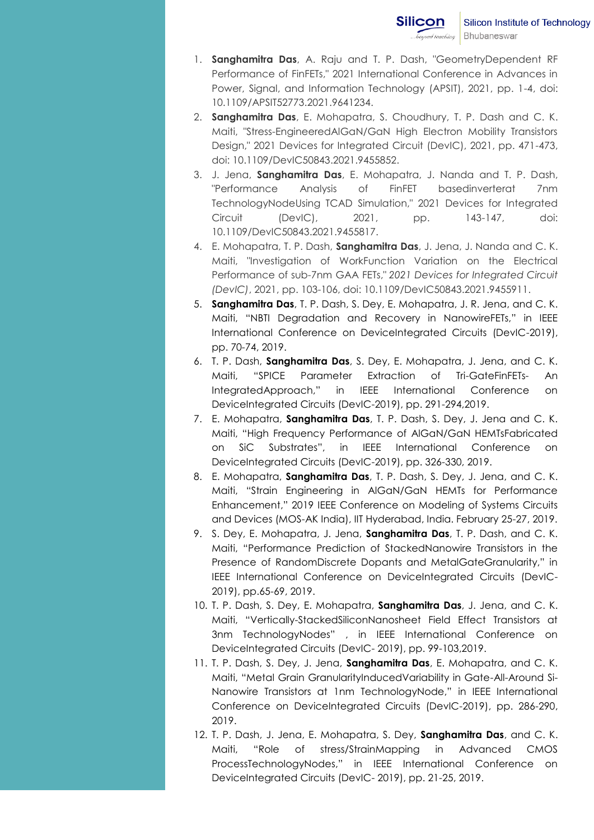- 1. **Sanghamitra Das**, A. Raju and T. P. Dash, "GeometryDependent RF Performance of FinFETs," 2021 International Conference in Advances in Power, Signal, and Information Technology (APSIT), 2021, pp. 1-4, doi: 10.1109/APSIT52773.2021.9641234.
- 2. **Sanghamitra Das**, E. Mohapatra, S. Choudhury, T. P. Dash and C. K. Maiti, "Stress-EngineeredAlGaN/GaN High Electron Mobility Transistors Design," 2021 Devices for Integrated Circuit (DevIC), 2021, pp. 471-473, doi: 10.1109/DevIC50843.2021.9455852.
- 3. J. Jena, **Sanghamitra Das**, E. Mohapatra, J. Nanda and T. P. Dash, "Performance Analysis of FinFET basedinverterat 7nm TechnologyNodeUsing TCAD Simulation," 2021 Devices for Integrated Circuit (DevIC), 2021, pp. 143-147, doi: 10.1109/DevIC50843.2021.9455817.
- 4. E. Mohapatra, T. P. Dash, **Sanghamitra Das**, J. Jena, J. Nanda and C. K. Maiti, "Investigation of WorkFunction Variation on the Electrical Performance of sub-7nm GAA FETs," *2021 Devices for Integrated Circuit (DevIC)*, 2021, pp. 103-106, doi: 10.1109/DevIC50843.2021.9455911.
- 5. **Sanghamitra Das**, T. P. Dash, S. Dey, E. Mohapatra, J. R. Jena, and C. K. Maiti, "NBTI Degradation and Recovery in NanowireFETs," in IEEE International Conference on DeviceIntegrated Circuits (DevIC-2019), pp. 70-74, 2019.
- 6. T. P. Dash, **Sanghamitra Das**, S. Dey, E. Mohapatra, J. Jena, and C. K. Maiti, "SPICE Parameter Extraction of Tri-GateFinFETs- An IntegratedApproach," in IEEE International Conference on DeviceIntegrated Circuits (DevIC-2019), pp. 291-294,2019.
- 7. E. Mohapatra, **Sanghamitra Das**, T. P. Dash, S. Dey, J. Jena and C. K. Maiti, "High Frequency Performance of AlGaN/GaN HEMTsFabricated on SiC Substrates", in IEEE International Conference on DeviceIntegrated Circuits (DevIC-2019), pp. 326-330, 2019.
- 8. E. Mohapatra, **Sanghamitra Das**, T. P. Dash, S. Dey, J. Jena, and C. K. Maiti, "Strain Engineering in AlGaN/GaN HEMTs for Performance Enhancement," 2019 IEEE Conference on Modeling of Systems Circuits and Devices (MOS-AK India), IIT Hyderabad, India. February 25-27, 2019.
- 9. S. Dey, E. Mohapatra, J. Jena, **Sanghamitra Das**, T. P. Dash, and C. K. Maiti, "Performance Prediction of StackedNanowire Transistors in the Presence of RandomDiscrete Dopants and MetalGateGranularity," in IEEE International Conference on DeviceIntegrated Circuits (DevIC-2019), pp.65-69, 2019.
- 10. T. P. Dash, S. Dey, E. Mohapatra, **Sanghamitra Das**, J. Jena, and C. K. Maiti, "Vertically-StackedSiliconNanosheet Field Effect Transistors at 3nm TechnologyNodes" , in IEEE International Conference on DeviceIntegrated Circuits (DevIC- 2019), pp. 99-103,2019.
- 11. T. P. Dash, S. Dey, J. Jena, **Sanghamitra Das**, E. Mohapatra, and C. K. Maiti, "Metal Grain GranularityInducedVariability in Gate-All-Around Si-Nanowire Transistors at 1nm TechnologyNode," in IEEE International Conference on DeviceIntegrated Circuits (DevIC-2019), pp. 286-290, 2019.
- 12. T. P. Dash, J. Jena, E. Mohapatra, S. Dey, **Sanghamitra Das**, and C. K. Maiti, "Role of stress/StrainMapping in Advanced CMOS ProcessTechnologyNodes," in IEEE International Conference on DeviceIntegrated Circuits (DevIC- 2019), pp. 21-25, 2019.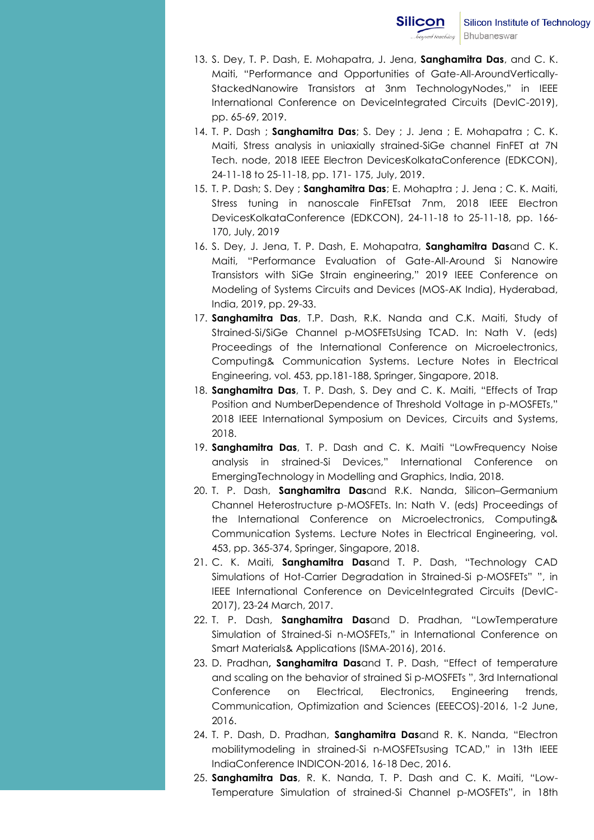- 13. S. Dey, T. P. Dash, E. Mohapatra, J. Jena, **Sanghamitra Das**, and C. K. Maiti, "Performance and Opportunities of Gate-All-AroundVertically-StackedNanowire Transistors at 3nm TechnologyNodes," in IEEE International Conference on DeviceIntegrated Circuits (DevIC-2019), pp. 65-69, 2019.
- 14. T. P. Dash ; **Sanghamitra Das**; S. Dey ; J. Jena ; E. Mohapatra ; C. K. Maiti, Stress analysis in uniaxially strained-SiGe channel FinFET at 7N Tech. node, 2018 IEEE Electron DevicesKolkataConference (EDKCON), 24-11-18 to 25-11-18, pp. 171- 175, July, 2019.
- 15. T. P. Dash; S. Dey ; **Sanghamitra Das**; E. Mohaptra ; J. Jena ; C. K. Maiti, Stress tuning in nanoscale FinFETsat 7nm, 2018 IEEE Electron DevicesKolkataConference (EDKCON), 24-11-18 to 25-11-18, pp. 166- 170, July, 2019
- 16. S. Dey, J. Jena, T. P. Dash, E. Mohapatra, **Sanghamitra Das**and C. K. Maiti, "Performance Evaluation of Gate-All-Around Si Nanowire Transistors with SiGe Strain engineering," 2019 IEEE Conference on Modeling of Systems Circuits and Devices (MOS-AK India), Hyderabad, India, 2019, pp. 29-33.
- 17. **Sanghamitra Das**, T.P. Dash, R.K. Nanda and C.K. Maiti, Study of Strained-Si/SiGe Channel p-MOSFETsUsing TCAD. In: Nath V. (eds) Proceedings of the International Conference on Microelectronics, Computing& Communication Systems. Lecture Notes in Electrical Engineering, vol. 453, pp.181-188, Springer, Singapore, 2018.
- 18. **Sanghamitra Das**, T. P. Dash, S. Dey and C. K. Maiti, "Effects of Trap Position and NumberDependence of Threshold Voltage in p-MOSFETs," 2018 IEEE International Symposium on Devices, Circuits and Systems, 2018.
- 19. **Sanghamitra Das**, T. P. Dash and C. K. Maiti "LowFrequency Noise analysis in strained-Si Devices," International Conference on EmergingTechnology in Modelling and Graphics, India, 2018.
- 20. T. P. Dash, **Sanghamitra Das**and R.K. Nanda, Silicon–Germanium Channel Heterostructure p-MOSFETs. In: Nath V. (eds) Proceedings of the International Conference on Microelectronics, Computing& Communication Systems. Lecture Notes in Electrical Engineering, vol. 453, pp. 365-374, Springer, Singapore, 2018.
- 21. C. K. Maiti, **Sanghamitra Das**and T. P. Dash, "Technology CAD Simulations of Hot-Carrier Degradation in Strained-Si p-MOSFETs" ", in IEEE International Conference on DeviceIntegrated Circuits (DevIC-2017), 23-24 March, 2017.
- 22. T. P. Dash, **Sanghamitra Das**and D. Pradhan, "LowTemperature Simulation of Strained-Si n-MOSFETs," in International Conference on Smart Materials& Applications (ISMA-2016), 2016.
- 23. D. Pradhan**, Sanghamitra Das**and T. P. Dash, "Effect of temperature and scaling on the behavior of strained Si p-MOSFETs ", 3rd International Conference on Electrical, Electronics, Engineering trends, Communication, Optimization and Sciences (EEECOS)-2016, 1-2 June, 2016.
- 24. T. P. Dash, D. Pradhan, **Sanghamitra Das**and R. K. Nanda, "Electron mobilitymodeling in strained-Si n-MOSFETsusing TCAD," in 13th IEEE IndiaConference INDICON-2016, 16-18 Dec, 2016.
- 25. **Sanghamitra Das**, R. K. Nanda, T. P. Dash and C. K. Maiti, "Low-Temperature Simulation of strained-Si Channel p-MOSFETs", in 18th